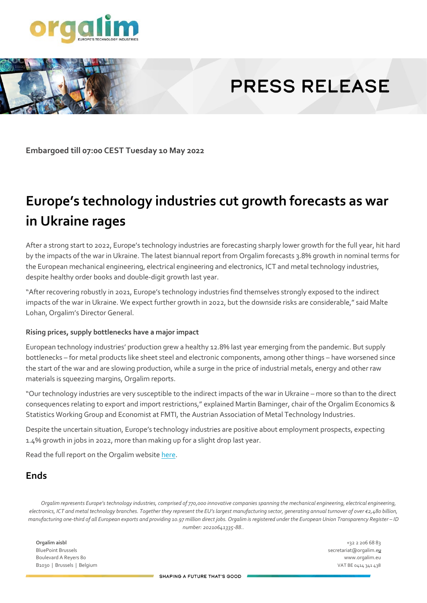

# **PRESS RELEASE**

**Embargoed till 07:00 CEST Tuesday 10 May 2022** 

# **Europe's technology industries cut growth forecasts as war in Ukraine rages**

After a strong start to 2022, Europe's technology industries are forecasting sharply lower growth for the full year, hit hard by the impacts of the war in Ukraine. The latest biannual report from Orgalim forecasts 3.8% growth in nominal terms for the European mechanical engineering, electrical engineering and electronics, ICT and metal technology industries, despite healthy order books and double-digit growth last year.

"After recovering robustly in 2021, Europe's technology industries find themselves strongly exposed to the indirect impacts of the war in Ukraine. We expect further growth in 2022, but the downside risks are considerable," said Malte Lohan, Orgalim's Director General.

#### **Rising prices, supply bottlenecks have a major impact**

European technology industries' production grew a healthy 12.8% last year emerging from the pandemic. But supply bottlenecks – for metal products like sheet steel and electronic components, among other things – have worsened since the start of the war and are slowing production, while a surge in the price of industrial metals, energy and other raw materials is squeezing margins, Orgalim reports.

"Our technology industries are very susceptible to the indirect impacts of the war in Ukraine – more so than to the direct consequences relating to export and import restrictions," explained Martin Baminger, chair of the Orgalim Economics & Statistics Working Group and Economist at FMTI, the Austrian Association of Metal Technology Industries.

Despite the uncertain situation, Europe's technology industries are positive about employment prospects, expecting 1.4% growth in jobs in 2022, more than making up for a slight drop last year.

Read the full report on the Orgalim websit[e here.](https://orgalim.eu/reports/economics-statistics-report-spring-2022)

#### **Ends**

*Orgalim represents Europe's technology industries, comprised of 770,000 innovative companies spanning the mechanical engineering, electrical engineering, electronics, ICT and metal technology branches. Together they represent the EU's largest manufacturing sector, generating annual turnover of over €2,480 billion, manufacturing one-third of all European exports and providing 10.97 million direct jobs. Orgalim is registered under the European Union Transparency Register – ID number: 20210641335-88..*

**Orgalim aisbl** +32 2 206 68 83 BluePoint Brussels secretariat@orgalim.eu secretariat@orgalim.eu secretariat@orgalim.eu Boulevard A Reyers 80 www.orgalim.eu B1030 | Brussels | Belgium VAT BE 0414 341 438